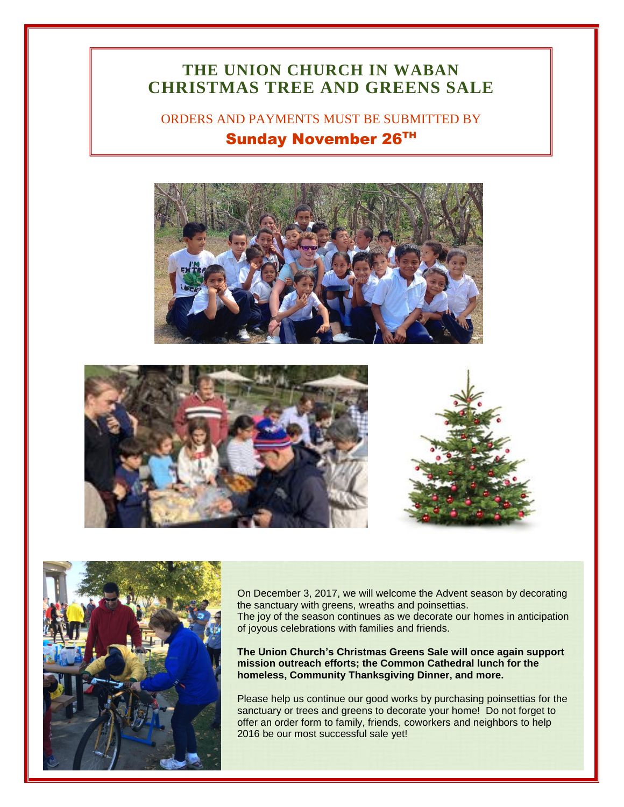## **THE UNION CHURCH IN WABAN CHRISTMAS TREE AND GREENS SALE**

ORDERS AND PAYMENTS MUST BE SUBMITTED BY Sunday November 26TH







On December 3, 2017, we will welcome the Advent season by decorating the sanctuary with greens, wreaths and poinsettias. The joy of the season continues as we decorate our homes in anticipation of joyous celebrations with families and friends.

**The Union Church's Christmas Greens Sale will once again support mission outreach efforts; the Common Cathedral lunch for the homeless, Community Thanksgiving Dinner, and more.**

Please help us continue our good works by purchasing poinsettias for the sanctuary or trees and greens to decorate your home! Do not forget to offer an order form to family, friends, coworkers and neighbors to help 2016 be our most successful sale yet!